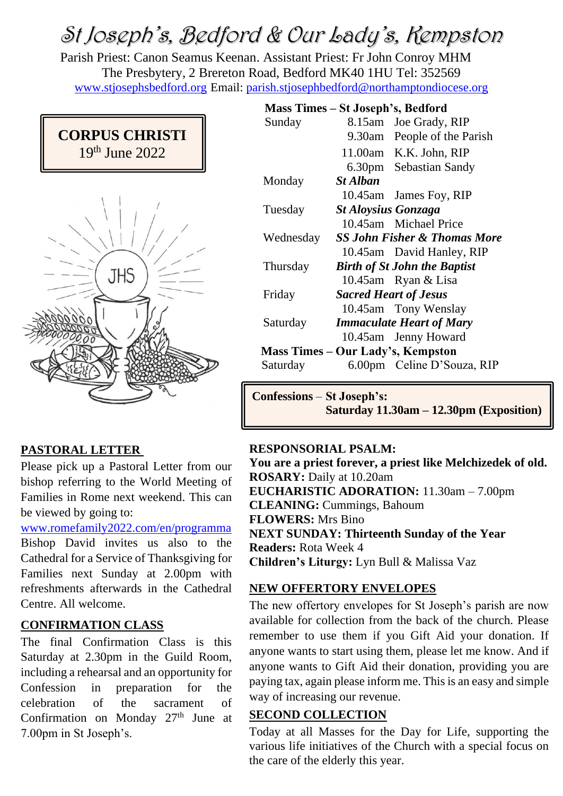# St Joseph's, Bedford & Our Lady's, Kempston

Parish Priest: Canon Seamus Keenan. Assistant Priest: Fr John Conroy MHM The Presbytery, 2 Brereton Road, Bedford MK40 1HU Tel: 352569 [www.stjosephsbedford.org](http://www.stjosephsbedford.org/) Email: [parish.stjosephbedford@northamptondiocese.org](mailto:parish.stjosephbedford@northamptondiocese.org)





# **PASTORAL LETTER**

Please pick up a Pastoral Letter from our bishop referring to the World Meeting of Families in Rome next weekend. This can be viewed by going to:

[www.romefamily2022.com/en/programma](http://www.romefamily2022.com/en/programma)

Bishop David invites us also to the Cathedral for a Service of Thanksgiving for Families next Sunday at 2.00pm with refreshments afterwards in the Cathedral Centre. All welcome.

## **CONFIRMATION CLASS**

The final Confirmation Class is this Saturday at 2.30pm in the Guild Room, including a rehearsal and an opportunity for Confession in preparation for the celebration of the sacrament of Confirmation on Monday 27<sup>th</sup> June at 7.00pm in St Joseph's.

|                                   | Mass Times – St Joseph's, Bedford |                              |                                         |  |
|-----------------------------------|-----------------------------------|------------------------------|-----------------------------------------|--|
|                                   | Sunday                            |                              | 8.15am Joe Grady, RIP                   |  |
|                                   |                                   |                              | 9.30am People of the Parish             |  |
|                                   |                                   |                              | 11.00am K.K. John, RIP                  |  |
|                                   |                                   |                              | 6.30pm Sebastian Sandy                  |  |
|                                   | Monday                            | <b>St Alban</b>              |                                         |  |
|                                   |                                   |                              | 10.45am James Foy, RIP                  |  |
|                                   | Tuesday                           | <b>St Aloysius Gonzaga</b>   |                                         |  |
|                                   |                                   |                              | 10.45am Michael Price                   |  |
|                                   | Wednesday                         |                              | <b>SS John Fisher &amp; Thomas More</b> |  |
|                                   |                                   |                              | 10.45am David Hanley, RIP               |  |
|                                   | Thursday                          |                              | <b>Birth of St John the Baptist</b>     |  |
|                                   |                                   |                              | 10.45am Ryan & Lisa                     |  |
|                                   | Friday                            | <b>Sacred Heart of Jesus</b> |                                         |  |
|                                   |                                   |                              | 10.45am Tony Wenslay                    |  |
|                                   | Saturday                          |                              | <b>Immaculate Heart of Mary</b>         |  |
|                                   |                                   |                              | 10.45am Jenny Howard                    |  |
| Mass Times – Our Lady's, Kempston |                                   |                              |                                         |  |
|                                   | Saturday                          |                              | 6.00pm Celine D'Souza, RIP              |  |
|                                   |                                   |                              |                                         |  |

**Confessions** – **St Joseph's: Saturday 11.30am – 12.30pm (Exposition)**

#### **RESPONSORIAL PSALM:**

**You are a priest forever, a priest like Melchizedek of old. ROSARY:** Daily at 10.20am **EUCHARISTIC ADORATION:** 11.30am – 7.00pm **CLEANING:** Cummings, Bahoum **FLOWERS:** Mrs Bino **NEXT SUNDAY: Thirteenth Sunday of the Year Readers:** Rota Week 4 **Children's Liturgy:** Lyn Bull & Malissa Vaz

## **NEW OFFERTORY ENVELOPES**

The new offertory envelopes for St Joseph's parish are now available for collection from the back of the church. Please remember to use them if you Gift Aid your donation. If anyone wants to start using them, please let me know. And if anyone wants to Gift Aid their donation, providing you are paying tax, again please inform me. This is an easy and simple way of increasing our revenue.

#### **SECOND COLLECTION**

Today at all Masses for the Day for Life, supporting the various life initiatives of the Church with a special focus on the care of the elderly this year.